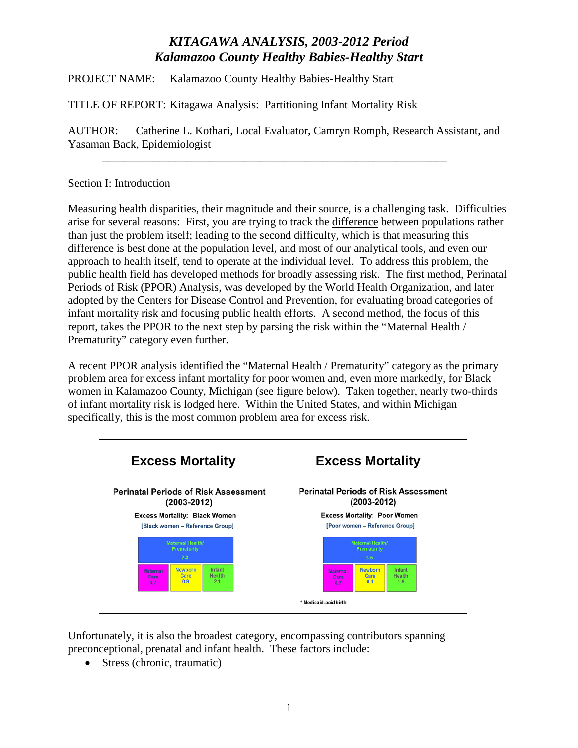PROJECT NAME: Kalamazoo County Healthy Babies-Healthy Start

TITLE OF REPORT: Kitagawa Analysis: Partitioning Infant Mortality Risk

AUTHOR: Catherine L. Kothari, Local Evaluator, Camryn Romph, Research Assistant, and Yasaman Back, Epidemiologist

\_\_\_\_\_\_\_\_\_\_\_\_\_\_\_\_\_\_\_\_\_\_\_\_\_\_\_\_\_\_\_\_\_\_\_\_\_\_\_\_\_\_\_\_\_\_\_\_\_\_\_\_\_\_\_\_\_\_\_\_\_

### Section I: Introduction

Measuring health disparities, their magnitude and their source, is a challenging task. Difficulties arise for several reasons: First, you are trying to track the difference between populations rather than just the problem itself; leading to the second difficulty, which is that measuring this difference is best done at the population level, and most of our analytical tools, and even our approach to health itself, tend to operate at the individual level. To address this problem, the public health field has developed methods for broadly assessing risk. The first method, Perinatal Periods of Risk (PPOR) Analysis, was developed by the World Health Organization, and later adopted by the Centers for Disease Control and Prevention, for evaluating broad categories of infant mortality risk and focusing public health efforts. A second method, the focus of this report, takes the PPOR to the next step by parsing the risk within the "Maternal Health / Prematurity" category even further.

A recent PPOR analysis identified the "Maternal Health / Prematurity" category as the primary problem area for excess infant mortality for poor women and, even more markedly, for Black women in Kalamazoo County, Michigan (see figure below). Taken together, nearly two-thirds of infant mortality risk is lodged here. Within the United States, and within Michigan specifically, this is the most common problem area for excess risk.



Unfortunately, it is also the broadest category, encompassing contributors spanning preconceptional, prenatal and infant health. These factors include:

• Stress (chronic, traumatic)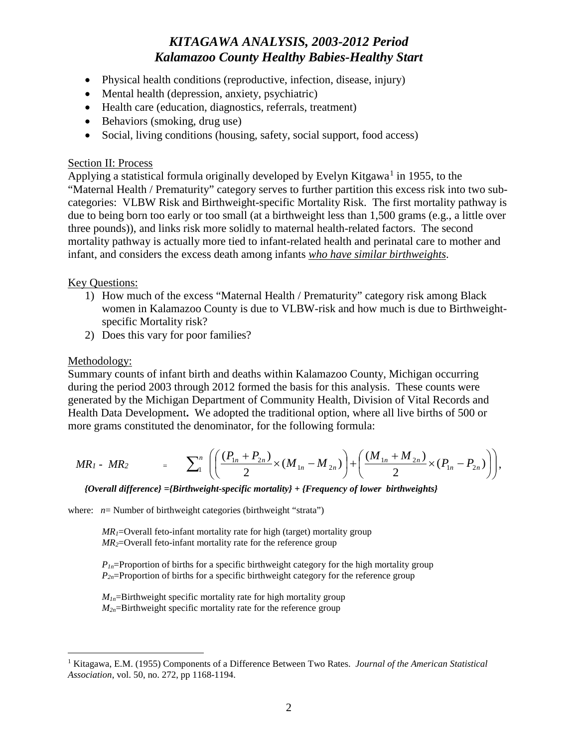- Physical health conditions (reproductive, infection, disease, injury)
- Mental health (depression, anxiety, psychiatric)
- Health care (education, diagnostics, referrals, treatment)
- Behaviors (smoking, drug use)
- Social, living conditions (housing, safety, social support, food access)

#### Section II: Process

Applying a statistical formula originally developed by Evelyn Kitgawa<sup>[1](#page-1-0)</sup> in 1955, to the "Maternal Health / Prematurity" category serves to further partition this excess risk into two subcategories: VLBW Risk and Birthweight-specific Mortality Risk. The first mortality pathway is due to being born too early or too small (at a birthweight less than 1,500 grams (e.g., a little over three pounds)), and links risk more solidly to maternal health-related factors. The second mortality pathway is actually more tied to infant-related health and perinatal care to mother and infant, and considers the excess death among infants *who have similar birthweights*.

#### Key Questions:

- 1) How much of the excess "Maternal Health / Prematurity" category risk among Black women in Kalamazoo County is due to VLBW-risk and how much is due to Birthweightspecific Mortality risk?
- 2) Does this vary for poor families?

#### Methodology:

Summary counts of infant birth and deaths within Kalamazoo County, Michigan occurring during the period 2003 through 2012 formed the basis for this analysis. These counts were generated by the Michigan Department of Community Health, Division of Vital Records and Health Data Development**.** We adopted the traditional option, where all live births of 500 or more grams constituted the denominator, for the following formula:

$$
MR_1 - MR_2 = \sum_{1}^{n} \left( \left( \frac{(P_{1n} + P_{2n})}{2} \times (M_{1n} - M_{2n}) \right) + \left( \frac{(M_{1n} + M_{2n})}{2} \times (P_{1n} - P_{2n}) \right) \right),
$$

*{Overall difference} ={Birthweight-specific mortality} + {Frequency of lower birthweights}*

where: *n*= Number of birthweight categories (birthweight "strata")

 $MR_l$ =Overall feto-infant mortality rate for high (target) mortality group *MR2*=Overall feto-infant mortality rate for the reference group

 $P_{1n}$ =Proportion of births for a specific birthweight category for the high mortality group *P2n*=Proportion of births for a specific birthweight category for the reference group

 $M_{1n}$ =Birthweight specific mortality rate for high mortality group *M2n*=Birthweight specific mortality rate for the reference group

<span id="page-1-0"></span> <sup>1</sup> Kitagawa, E.M. (1955) Components of a Difference Between Two Rates. *Journal of the American Statistical Association*, vol. 50, no. 272, pp 1168-1194.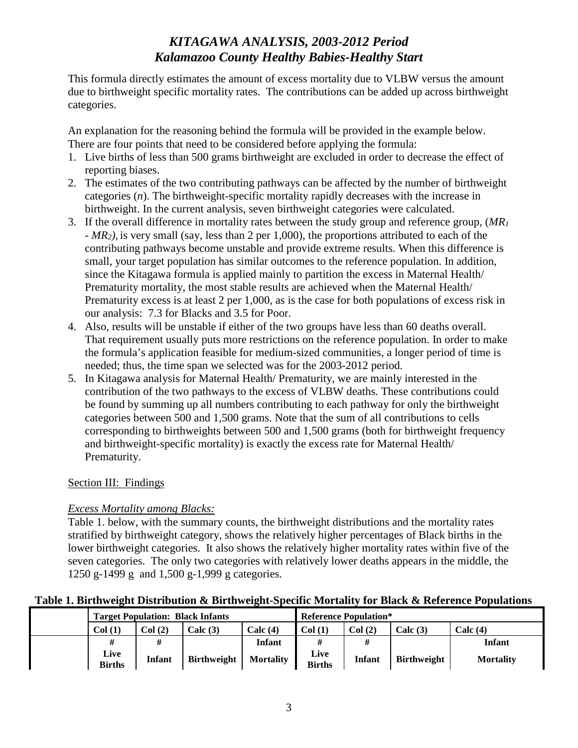This formula directly estimates the amount of excess mortality due to VLBW versus the amount due to birthweight specific mortality rates. The contributions can be added up across birthweight categories.

An explanation for the reasoning behind the formula will be provided in the example below. There are four points that need to be considered before applying the formula:

- 1. Live births of less than 500 grams birthweight are excluded in order to decrease the effect of reporting biases.
- 2. The estimates of the two contributing pathways can be affected by the number of birthweight categories (*n*). The birthweight-specific mortality rapidly decreases with the increase in birthweight. In the current analysis, seven birthweight categories were calculated.
- 3. If the overall difference in mortality rates between the study group and reference group, (*MR1* - *MR2),* is very small (say, less than 2 per 1,000), the proportions attributed to each of the contributing pathways become unstable and provide extreme results. When this difference is small, your target population has similar outcomes to the reference population. In addition, since the Kitagawa formula is applied mainly to partition the excess in Maternal Health/ Prematurity mortality, the most stable results are achieved when the Maternal Health/ Prematurity excess is at least 2 per 1,000, as is the case for both populations of excess risk in our analysis: 7.3 for Blacks and 3.5 for Poor.
- 4. Also, results will be unstable if either of the two groups have less than 60 deaths overall. That requirement usually puts more restrictions on the reference population. In order to make the formula's application feasible for medium-sized communities, a longer period of time is needed; thus, the time span we selected was for the 2003-2012 period.
- 5. In Kitagawa analysis for Maternal Health/ Prematurity, we are mainly interested in the contribution of the two pathways to the excess of VLBW deaths. These contributions could be found by summing up all numbers contributing to each pathway for only the birthweight categories between 500 and 1,500 grams. Note that the sum of all contributions to cells corresponding to birthweights between 500 and 1,500 grams (both for birthweight frequency and birthweight-specific mortality) is exactly the excess rate for Maternal Health/ Prematurity.

### Section III: Findings

### *Excess Mortality among Blacks:*

Table 1. below, with the summary counts, the birthweight distributions and the mortality rates stratified by birthweight category, shows the relatively higher percentages of Black births in the lower birthweight categories. It also shows the relatively higher mortality rates within five of the seven categories. The only two categories with relatively lower deaths appears in the middle, the 1250 g-1499 g and 1,500 g-1,999 g categories.

### **Table 1. Birthweight Distribution & Birthweight-Specific Mortality for Black & Reference Populations**

| <b>Target Population: Black Infants</b> |        |                    |                  | <b>Reference Population*</b> |               |                    |                  |
|-----------------------------------------|--------|--------------------|------------------|------------------------------|---------------|--------------------|------------------|
| Col(1)                                  | Col(2) | Calc(3)            | Calc $(4)$       | Col(1)                       | Col(2)        | Calc(3)            | Calc $(4)$       |
| #                                       |        |                    | Infant           | #                            |               |                    | <b>Infant</b>    |
| Live<br><b>Births</b>                   | Infant | <b>Birthweight</b> | <b>Mortality</b> | Live<br><b>Births</b>        | <b>Infant</b> | <b>Birthweight</b> | <b>Mortality</b> |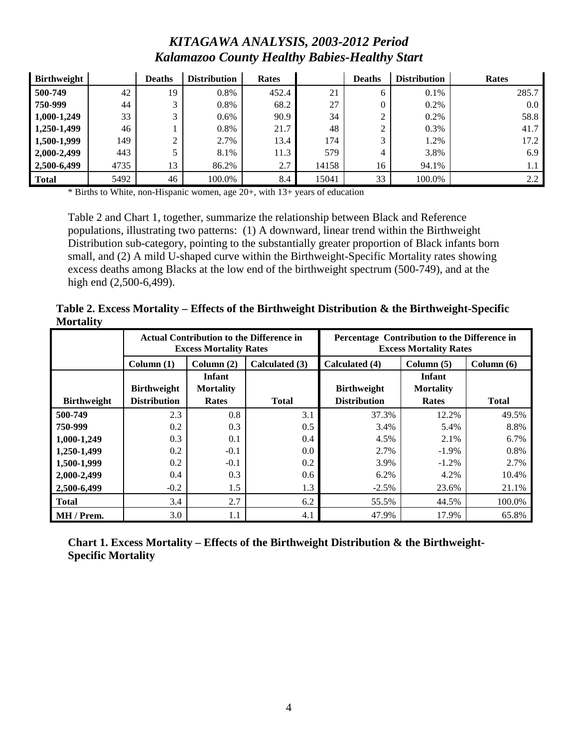| <b>Birthweight</b> |      | <b>Deaths</b> | <b>Distribution</b> | <b>Rates</b> |       | <b>Deaths</b> | <b>Distribution</b> | Rates            |
|--------------------|------|---------------|---------------------|--------------|-------|---------------|---------------------|------------------|
| 500-749            | 42   | 19            | $0.8\%$             | 452.4        | 21    | <sub>0</sub>  | $0.1\%$             | 285.7            |
| 750-999            | 44   | 2             | $0.8\%$             | 68.2         | 27    |               | 0.2%                | 0.0 <sub>1</sub> |
| 1,000-1,249        | 33   | 3             | $0.6\%$             | 90.9         | 34    | ◠             | 0.2%                | 58.8             |
| 1,250-1,499        | 46   |               | 0.8%                | 21.7         | 48    | ◠             | 0.3%                | 41.7             |
| 1,500-1,999        | 149  |               | 2.7%                | 13.4         | 174   | 3             | 1.2%                | 17.2             |
| 2,000-2,499        | 443  |               | 8.1%                | 11.3         | 579   | 4             | 3.8%                | 6.9              |
| 2,500-6,499        | 4735 | 13            | 86.2%               | 2.7          | 14158 | 16            | 94.1%               | 1.1              |
| <b>Total</b>       | 5492 | 46            | 100.0%              | 8.4          | 15041 | 33            | 100.0%              | 2.2              |

\* Births to White, non-Hispanic women, age 20+, with 13+ years of education

Table 2 and Chart 1, together, summarize the relationship between Black and Reference populations, illustrating two patterns: (1) A downward, linear trend within the Birthweight Distribution sub-category, pointing to the substantially greater proportion of Black infants born small, and (2) A mild U-shaped curve within the Birthweight-Specific Mortality rates showing excess deaths among Blacks at the low end of the birthweight spectrum (500-749), and at the high end (2,500-6,499).

**Table 2. Excess Mortality – Effects of the Birthweight Distribution & the Birthweight-Specific Mortality**

|                    |                     | <b>Actual Contribution to the Difference in</b><br><b>Excess Mortality Rates</b> |                | Percentage Contribution to the Difference in<br><b>Excess Mortality Rates</b> |                  |              |  |
|--------------------|---------------------|----------------------------------------------------------------------------------|----------------|-------------------------------------------------------------------------------|------------------|--------------|--|
|                    | Column(1)           | Column $(2)$                                                                     | Calculated (3) | Calculated (4)                                                                | Column(5)        | Column $(6)$ |  |
|                    |                     | Infant                                                                           |                |                                                                               | Infant           |              |  |
|                    | <b>Birthweight</b>  | <b>Mortality</b>                                                                 |                | <b>Birthweight</b>                                                            | <b>Mortality</b> |              |  |
| <b>Birthweight</b> | <b>Distribution</b> | Rates                                                                            | <b>Total</b>   | <b>Distribution</b>                                                           | Rates            | <b>Total</b> |  |
| 500-749            | 2.3                 | 0.8                                                                              | 3.1            | 37.3%                                                                         | 12.2%            | 49.5%        |  |
| 750-999            | 0.2                 | 0.3                                                                              | 0.5            | 3.4%                                                                          | 5.4%             | 8.8%         |  |
| 1,000-1,249        | 0.3                 | 0.1                                                                              | 0.4            | 4.5%                                                                          | 2.1%             | 6.7%         |  |
| 1,250-1,499        | 0.2                 | $-0.1$                                                                           | 0.0            | 2.7%                                                                          | $-1.9\%$         | 0.8%         |  |
| 1,500-1,999        | 0.2                 | $-0.1$                                                                           | 0.2            | 3.9%                                                                          | $-1.2%$          | 2.7%         |  |
| 2,000-2,499        | 0.4                 | 0.3                                                                              | 0.6            | 6.2%                                                                          | 4.2%             | 10.4%        |  |
| 2,500-6,499        | $-0.2$              | 1.5                                                                              | 1.3            | $-2.5\%$                                                                      | 23.6%            | 21.1%        |  |
| <b>Total</b>       | 3.4                 | 2.7                                                                              | 6.2            | 55.5%                                                                         | 44.5%            | 100.0%       |  |
| MH / Prem.         | 3.0                 | 1.1                                                                              | 4.1            | 47.9%                                                                         | 17.9%            | 65.8%        |  |

**Chart 1. Excess Mortality – Effects of the Birthweight Distribution & the Birthweight-Specific Mortality**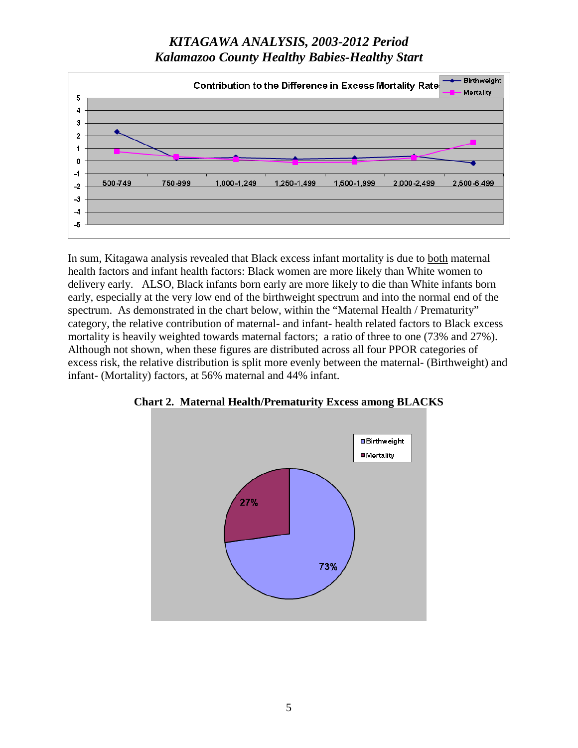

In sum, Kitagawa analysis revealed that Black excess infant mortality is due to both maternal health factors and infant health factors: Black women are more likely than White women to delivery early. ALSO, Black infants born early are more likely to die than White infants born early, especially at the very low end of the birthweight spectrum and into the normal end of the spectrum. As demonstrated in the chart below, within the "Maternal Health / Prematurity" category, the relative contribution of maternal- and infant- health related factors to Black excess mortality is heavily weighted towards maternal factors; a ratio of three to one (73% and 27%). Although not shown, when these figures are distributed across all four PPOR categories of excess risk, the relative distribution is split more evenly between the maternal- (Birthweight) and infant- (Mortality) factors, at 56% maternal and 44% infant.



**Chart 2. Maternal Health/Prematurity Excess among BLACKS**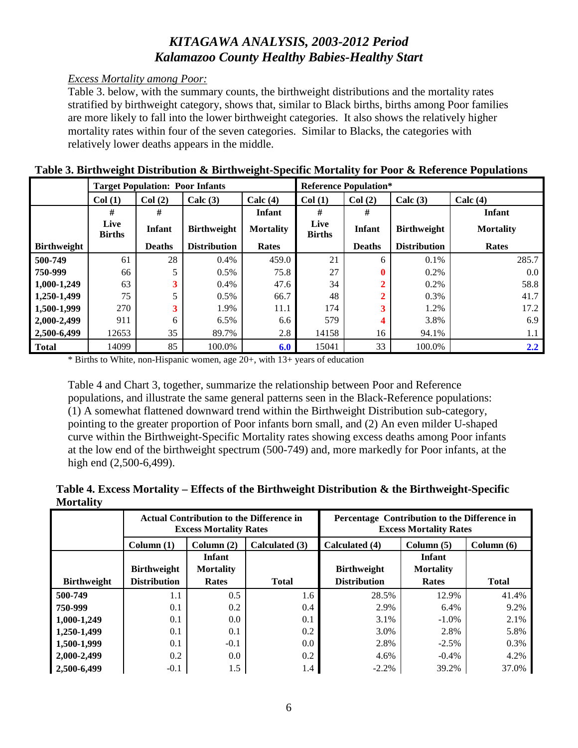### *Excess Mortality among Poor:*

Table 3. below, with the summary counts, the birthweight distributions and the mortality rates stratified by birthweight category, shows that, similar to Black births, births among Poor families are more likely to fall into the lower birthweight categories. It also shows the relatively higher mortality rates within four of the seven categories. Similar to Blacks, the categories with relatively lower deaths appears in the middle.

|                    |                       | <b>Target Population: Poor Infants</b> |                     |                  | <b>Reference Population*</b> |               |                     |                  |  |
|--------------------|-----------------------|----------------------------------------|---------------------|------------------|------------------------------|---------------|---------------------|------------------|--|
|                    | Col(1)                | Col(2)                                 | Calc $(3)$          | Calc $(4)$       | Col(1)                       | Col(2)        | Calc $(3)$          | Calc $(4)$       |  |
|                    | #                     | #                                      |                     | <b>Infant</b>    | #                            | #             |                     | Infant           |  |
|                    | Live<br><b>Births</b> | <b>Infant</b>                          | <b>Birthweight</b>  | <b>Mortality</b> | Live<br><b>Births</b>        | <b>Infant</b> | <b>Birthweight</b>  | <b>Mortality</b> |  |
| <b>Birthweight</b> |                       | <b>Deaths</b>                          | <b>Distribution</b> | Rates            |                              | <b>Deaths</b> | <b>Distribution</b> | Rates            |  |
| 500-749            | 61                    | 28                                     | 0.4%                | 459.0            | 21                           | 6             | 0.1%                | 285.7            |  |
| 750-999            | 66                    | 5                                      | $0.5\%$             | 75.8             | 27                           | $\mathbf{0}$  | $0.2\%$             | $0.0\degree$     |  |
| 1,000-1,249        | 63                    | 3                                      | $0.4\%$             | 47.6             | 34                           |               | $0.2\%$             | 58.8             |  |
| 1,250-1,499        | 75                    | 5                                      | 0.5%                | 66.7             | 48                           |               | 0.3%                | 41.7             |  |
| 1,500-1,999        | 270                   | 3                                      | 1.9%                | 11.1             | 174                          |               | 1.2%                | 17.2             |  |
| 2,000-2,499        | 911                   | 6                                      | 6.5%                | 6.6              | 579                          | 4             | 3.8%                | 6.9              |  |
| 2,500-6,499        | 12653                 | 35                                     | 89.7%               | 2.8              | 14158                        | 16            | 94.1%               | 1.1              |  |
| Total              | 14099                 | 85                                     | 100.0%              | 6.0              | 15041                        | 33            | 100.0%              | $2.2^{\circ}$    |  |

#### **Table 3. Birthweight Distribution & Birthweight-Specific Mortality for Poor & Reference Populations**

\* Births to White, non-Hispanic women, age 20+, with 13+ years of education

Table 4 and Chart 3, together, summarize the relationship between Poor and Reference populations, and illustrate the same general patterns seen in the Black-Reference populations: (1) A somewhat flattened downward trend within the Birthweight Distribution sub-category, pointing to the greater proportion of Poor infants born small, and (2) An even milder U-shaped curve within the Birthweight-Specific Mortality rates showing excess deaths among Poor infants at the low end of the birthweight spectrum (500-749) and, more markedly for Poor infants, at the high end (2,500-6,499).

### **Table 4. Excess Mortality – Effects of the Birthweight Distribution & the Birthweight-Specific Mortality**

|                    |                           | <b>Actual Contribution to the Difference in</b><br><b>Excess Mortality Rates</b> |                | Percentage Contribution to the Difference in<br><b>Excess Mortality Rates</b> |                  |              |  |
|--------------------|---------------------------|----------------------------------------------------------------------------------|----------------|-------------------------------------------------------------------------------|------------------|--------------|--|
|                    | Column(1)<br>Column $(2)$ |                                                                                  | Calculated (3) | Calculated (4)                                                                | Column $(5)$     | Column $(6)$ |  |
|                    |                           | <b>Infant</b>                                                                    |                |                                                                               | Infant           |              |  |
|                    | <b>Birthweight</b>        | <b>Mortality</b>                                                                 |                | <b>Birthweight</b>                                                            | <b>Mortality</b> |              |  |
| <b>Birthweight</b> | <b>Distribution</b>       | Rates                                                                            | <b>Total</b>   | <b>Distribution</b>                                                           | Rates            | <b>Total</b> |  |
| 500-749            | 1.1                       | 0.5                                                                              | 1.6            | 28.5%                                                                         | 12.9%            | 41.4%        |  |
| 750-999            | 0.1                       | 0.2                                                                              | 0.4            | 2.9%                                                                          | 6.4%             | 9.2%         |  |
| 1,000-1,249        | 0.1                       | 0.0                                                                              | 0.1            | 3.1%                                                                          | $-1.0\%$         | 2.1%         |  |
| 1,250-1,499        | 0.1                       | 0.1                                                                              | 0.2            | 3.0%                                                                          | 2.8%             | 5.8%         |  |
| 1,500-1,999        | 0.1                       | $-0.1$                                                                           | 0.0            | 2.8%                                                                          | $-2.5%$          | 0.3%         |  |
| 2,000-2,499        | 0.2                       | 0.0                                                                              | 0.2            | 4.6%                                                                          | $-0.4%$          | 4.2%         |  |
| 2,500-6,499        | $-0.1$                    | 1.5                                                                              | 1.4            | $-2.2\%$                                                                      | 39.2%            | 37.0%        |  |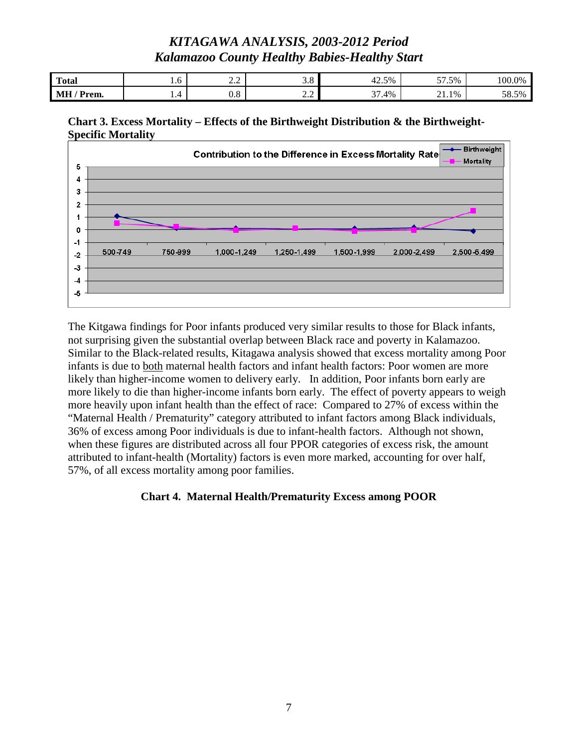| <b>Total</b>           | 1.0 | $\sim$ $\sim$<br>the control of the control of | J.O                                                  | 42.5%                 | 57.5%           | 100.0% |
|------------------------|-----|------------------------------------------------|------------------------------------------------------|-----------------------|-----------------|--------|
| <b>MH</b><br>$/$ Prem. | .   | 0.8                                            | $\overline{\phantom{a}}$<br>$\overline{\phantom{a}}$ | $\sim$<br>7.4%<br>J 1 | $\sim$<br>21.1% | 38.5%  |





The Kitgawa findings for Poor infants produced very similar results to those for Black infants, not surprising given the substantial overlap between Black race and poverty in Kalamazoo. Similar to the Black-related results, Kitagawa analysis showed that excess mortality among Poor infants is due to both maternal health factors and infant health factors: Poor women are more likely than higher-income women to delivery early. In addition, Poor infants born early are more likely to die than higher-income infants born early. The effect of poverty appears to weigh more heavily upon infant health than the effect of race: Compared to 27% of excess within the "Maternal Health / Prematurity" category attributed to infant factors among Black individuals, 36% of excess among Poor individuals is due to infant-health factors. Although not shown, when these figures are distributed across all four PPOR categories of excess risk, the amount attributed to infant-health (Mortality) factors is even more marked, accounting for over half, 57%, of all excess mortality among poor families.

### **Chart 4. Maternal Health/Prematurity Excess among POOR**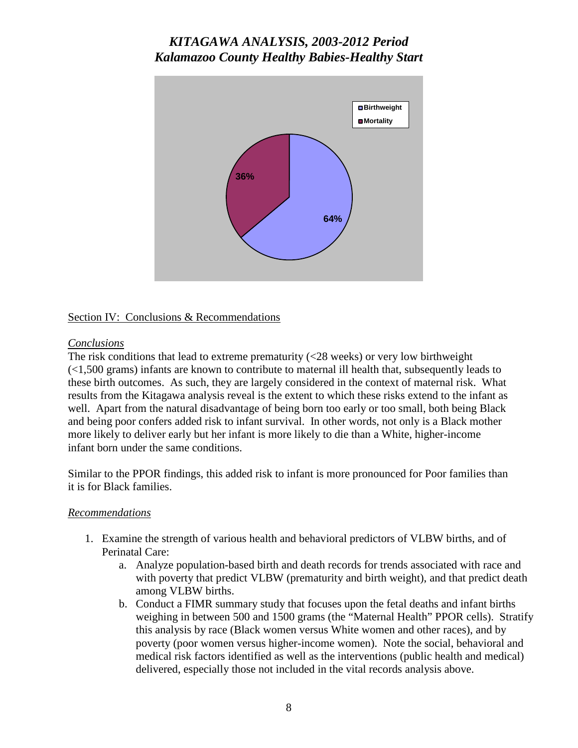

### Section IV: Conclusions & Recommendations

### *Conclusions*

The risk conditions that lead to extreme prematurity (<28 weeks) or very low birthweight (<1,500 grams) infants are known to contribute to maternal ill health that, subsequently leads to these birth outcomes. As such, they are largely considered in the context of maternal risk. What results from the Kitagawa analysis reveal is the extent to which these risks extend to the infant as well. Apart from the natural disadvantage of being born too early or too small, both being Black and being poor confers added risk to infant survival. In other words, not only is a Black mother more likely to deliver early but her infant is more likely to die than a White, higher-income infant born under the same conditions.

Similar to the PPOR findings, this added risk to infant is more pronounced for Poor families than it is for Black families.

### *Recommendations*

- 1. Examine the strength of various health and behavioral predictors of VLBW births, and of Perinatal Care:
	- a. Analyze population-based birth and death records for trends associated with race and with poverty that predict VLBW (prematurity and birth weight), and that predict death among VLBW births.
	- b. Conduct a FIMR summary study that focuses upon the fetal deaths and infant births weighing in between 500 and 1500 grams (the "Maternal Health" PPOR cells). Stratify this analysis by race (Black women versus White women and other races), and by poverty (poor women versus higher-income women). Note the social, behavioral and medical risk factors identified as well as the interventions (public health and medical) delivered, especially those not included in the vital records analysis above.